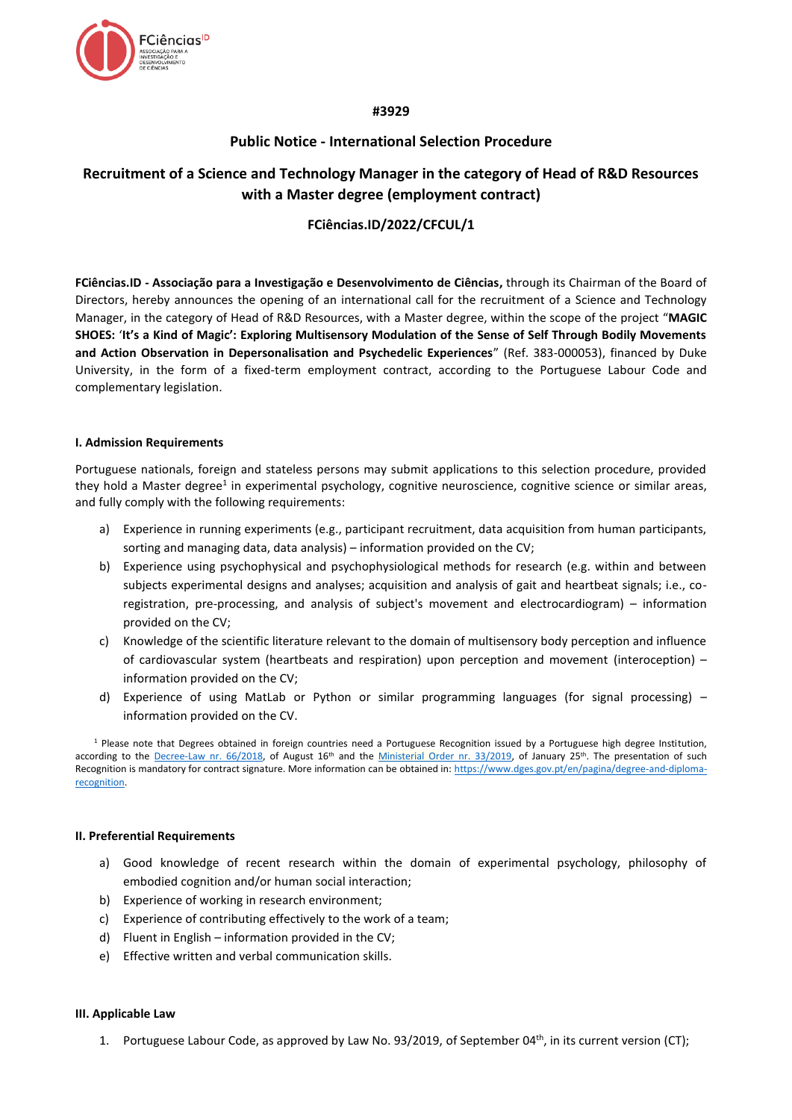

## **#3929**

## **Public Notice - International Selection Procedure**

# **Recruitment of a Science and Technology Manager in the category of Head of R&D Resources with a Master degree (employment contract)**

## **FCiências.ID/2022/CFCUL/1**

**FCiências.ID - Associação para a Investigação e Desenvolvimento de Ciências,** through its Chairman of the Board of Directors, hereby announces the opening of an international call for the recruitment of a Science and Technology Manager, in the category of Head of R&D Resources, with a Master degree, within the scope of the project "**MAGIC SHOES:** '**It's a Kind of Magic': Exploring Multisensory Modulation of the Sense of Self Through Bodily Movements and Action Observation in Depersonalisation and Psychedelic Experiences**" (Ref. 383-000053), financed by Duke University, in the form of a fixed-term employment contract, according to the Portuguese Labour Code and complementary legislation.

## **I. Admission Requirements**

Portuguese nationals, foreign and stateless persons may submit applications to this selection procedure, provided they hold a Master degree<sup>1</sup> in experimental psychology, cognitive neuroscience, cognitive science or similar areas, and fully comply with the following requirements:

- a) Experience in running experiments (e.g., participant recruitment, data acquisition from human participants, sorting and managing data, data analysis) – information provided on the CV;
- b) Experience using psychophysical and psychophysiological methods for research (e.g. within and between subjects experimental designs and analyses; acquisition and analysis of gait and heartbeat signals; i.e., coregistration, pre-processing, and analysis of subject's movement and electrocardiogram) – information provided on the CV;
- c) Knowledge of the scientific literature relevant to the domain of multisensory body perception and influence of cardiovascular system (heartbeats and respiration) upon perception and movement (interoception) – information provided on the CV;
- d) Experience of using MatLab or Python or similar programming languages (for signal processing) information provided on the CV.

 $1$  Please note that Degrees obtained in foreign countries need a Portuguese Recognition issued by a Portuguese high degree Institution, according to the [Decree-Law nr. 66/2018,](https://dre.pt/web/guest/pesquisa/-/search/116068880/details/maximized?res=en) of August 16<sup>th</sup> and the [Ministerial Order nr. 33/2019,](https://dre.pt/web/guest/pesquisa/-/search/118484592/details/normal?q=portaria+33%2F2019) of January 25<sup>th</sup>. The presentation of such Recognition is mandatory for contract signature. More information can be obtained in[: https://www.dges.gov.pt/en/pagina/degree-and-diploma](https://www.dges.gov.pt/en/pagina/degree-and-diploma-recognition)[recognition.](https://www.dges.gov.pt/en/pagina/degree-and-diploma-recognition)

## **II. Preferential Requirements**

- a) Good knowledge of recent research within the domain of experimental psychology, philosophy of embodied cognition and/or human social interaction;
- b) Experience of working in research environment;
- c) Experience of contributing effectively to the work of a team;
- d) Fluent in English information provided in the CV;
- e) Effective written and verbal communication skills.

## **III. Applicable Law**

1. Portuguese Labour Code, as approved by Law No. 93/2019, of September 04<sup>th</sup>, in its current version (CT);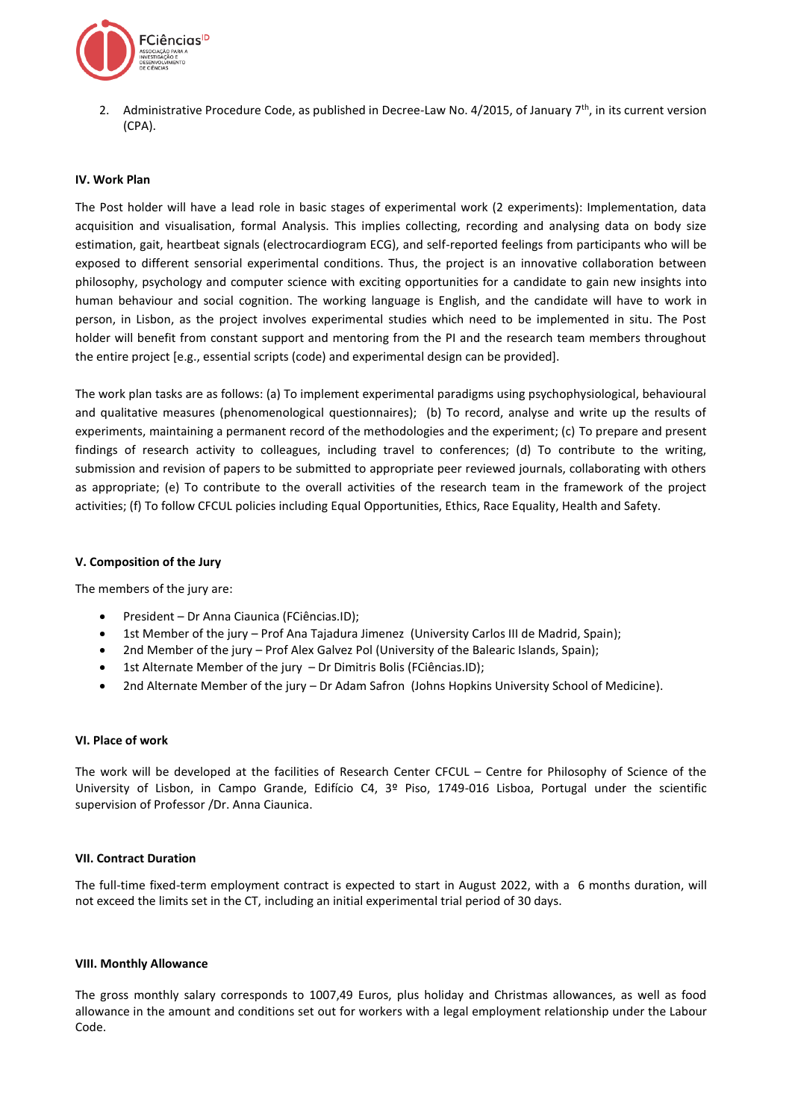

2. Administrative Procedure Code, as published in Decree-Law No. 4/2015, of January 7<sup>th</sup>, in its current version (CPA).

### **IV. Work Plan**

The Post holder will have a lead role in basic stages of experimental work (2 experiments): Implementation, data acquisition and visualisation, formal Analysis. This implies collecting, recording and analysing data on body size estimation, gait, heartbeat signals (electrocardiogram ECG), and self-reported feelings from participants who will be exposed to different sensorial experimental conditions. Thus, the project is an innovative collaboration between philosophy, psychology and computer science with exciting opportunities for a candidate to gain new insights into human behaviour and social cognition. The working language is English, and the candidate will have to work in person, in Lisbon, as the project involves experimental studies which need to be implemented in situ. The Post holder will benefit from constant support and mentoring from the PI and the research team members throughout the entire project [e.g., essential scripts (code) and experimental design can be provided].

The work plan tasks are as follows: (a) To implement experimental paradigms using psychophysiological, behavioural and qualitative measures (phenomenological questionnaires); (b) To record, analyse and write up the results of experiments, maintaining a permanent record of the methodologies and the experiment; (c) To prepare and present findings of research activity to colleagues, including travel to conferences; (d) To contribute to the writing, submission and revision of papers to be submitted to appropriate peer reviewed journals, collaborating with others as appropriate; (e) To contribute to the overall activities of the research team in the framework of the project activities; (f) To follow CFCUL policies including Equal Opportunities, Ethics, Race Equality, Health and Safety.

#### **V. Composition of the Jury**

The members of the jury are:

- President Dr Anna Ciaunica (FCiências.ID);
- 1st Member of the jury Prof Ana Tajadura Jimenez (University Carlos III de Madrid, Spain);
- 2nd Member of the jury Prof Alex Galvez Pol (University of the Balearic Islands, Spain);
- 1st Alternate Member of the jury Dr Dimitris Bolis (FCiências.ID);
- 2nd Alternate Member of the jury Dr Adam Safron (Johns Hopkins University School of Medicine).

#### **VI. Place of work**

The work will be developed at the facilities of Research Center CFCUL – Centre for Philosophy of Science of the University of Lisbon, in Campo Grande, Edifício C4, 3º Piso, 1749-016 Lisboa, Portugal under the scientific supervision of Professor /Dr. Anna Ciaunica.

#### **VII. Contract Duration**

The full-time fixed-term employment contract is expected to start in August 2022, with a 6 months duration, will not exceed the limits set in the CT, including an initial experimental trial period of 30 days.

#### **VIII. Monthly Allowance**

The gross monthly salary corresponds to 1007,49 Euros, plus holiday and Christmas allowances, as well as food allowance in the amount and conditions set out for workers with a legal employment relationship under the Labour Code.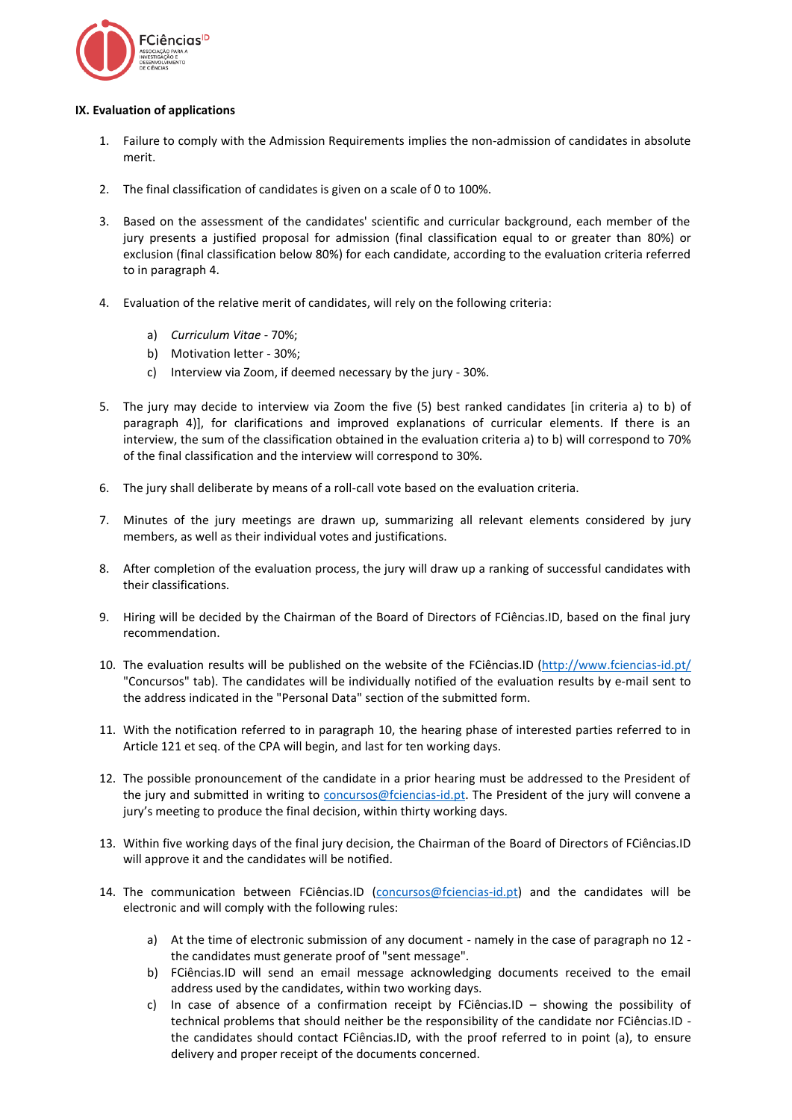

## **IX. Evaluation of applications**

- 1. Failure to comply with the Admission Requirements implies the non-admission of candidates in absolute merit.
- 2. The final classification of candidates is given on a scale of 0 to 100%.
- 3. Based on the assessment of the candidates' scientific and curricular background, each member of the jury presents a justified proposal for admission (final classification equal to or greater than 80%) or exclusion (final classification below 80%) for each candidate, according to the evaluation criteria referred to in paragraph 4.
- 4. Evaluation of the relative merit of candidates, will rely on the following criteria:
	- a) *Curriculum Vitae* 70%;
	- b) Motivation letter 30%;
	- c) Interview via Zoom, if deemed necessary by the jury 30%.
- 5. The jury may decide to interview via Zoom the five (5) best ranked candidates [in criteria a) to b) of paragraph 4)], for clarifications and improved explanations of curricular elements. If there is an interview, the sum of the classification obtained in the evaluation criteria a) to b) will correspond to 70% of the final classification and the interview will correspond to 30%.
- 6. The jury shall deliberate by means of a roll-call vote based on the evaluation criteria.
- 7. Minutes of the jury meetings are drawn up, summarizing all relevant elements considered by jury members, as well as their individual votes and justifications.
- 8. After completion of the evaluation process, the jury will draw up a ranking of successful candidates with their classifications.
- 9. Hiring will be decided by the Chairman of the Board of Directors of FCiências.ID, based on the final jury recommendation.
- 10. The evaluation results will be published on the website of the FCiências.ID [\(http://www.fciencias-id.pt/](http://www.fciencias-id.pt/) "Concursos" tab). The candidates will be individually notified of the evaluation results by e-mail sent to the address indicated in the "Personal Data" section of the submitted form.
- 11. With the notification referred to in paragraph 10, the hearing phase of interested parties referred to in Article 121 et seq. of the CPA will begin, and last for ten working days.
- 12. The possible pronouncement of the candidate in a prior hearing must be addressed to the President of the jury and submitted in writing to [concursos@fciencias-id.pt.](mailto:concursos@fciencias-id.pt) The President of the jury will convene a jury's meeting to produce the final decision, within thirty working days.
- 13. Within five working days of the final jury decision, the Chairman of the Board of Directors of FCiências.ID will approve it and the candidates will be notified.
- 14. The communication between FCiências.ID [\(concursos@fciencias-id.pt\)](mailto:concursos@fciencias-id.pt) and the candidates will be electronic and will comply with the following rules:
	- a) At the time of electronic submission of any document namely in the case of paragraph no 12 the candidates must generate proof of "sent message".
	- b) FCiências.ID will send an email message acknowledging documents received to the email address used by the candidates, within two working days.
	- c) In case of absence of a confirmation receipt by FCiências.ID showing the possibility of technical problems that should neither be the responsibility of the candidate nor FCiências.ID the candidates should contact FCiências.ID, with the proof referred to in point (a), to ensure delivery and proper receipt of the documents concerned.